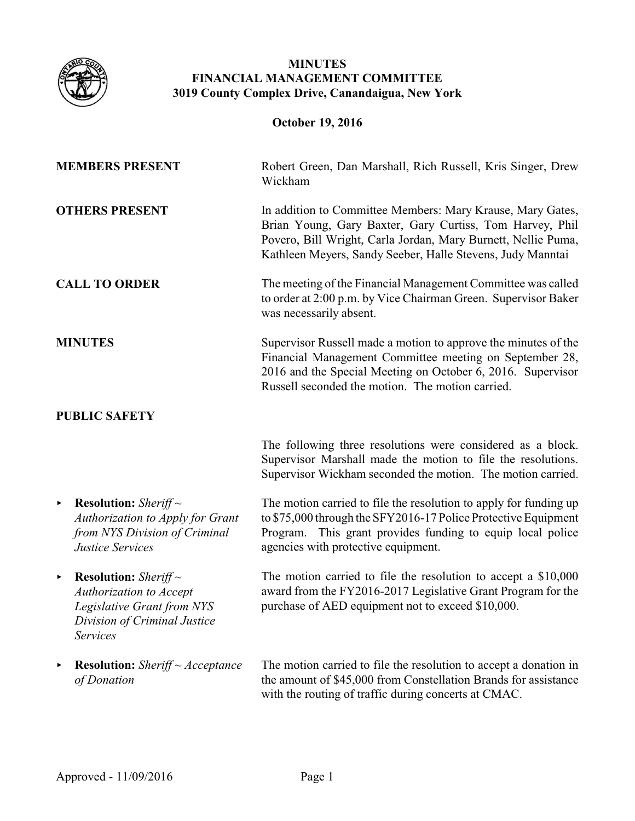

## **MINUTES FINANCIAL MANAGEMENT COMMITTEE 3019 County Complex Drive, Canandaigua, New York**

| <b>October 19, 2016</b> |                                                                                                                                                                |                                                                                                                                                                                                                                                       |
|-------------------------|----------------------------------------------------------------------------------------------------------------------------------------------------------------|-------------------------------------------------------------------------------------------------------------------------------------------------------------------------------------------------------------------------------------------------------|
|                         | <b>MEMBERS PRESENT</b>                                                                                                                                         | Robert Green, Dan Marshall, Rich Russell, Kris Singer, Drew<br>Wickham                                                                                                                                                                                |
|                         | <b>OTHERS PRESENT</b>                                                                                                                                          | In addition to Committee Members: Mary Krause, Mary Gates,<br>Brian Young, Gary Baxter, Gary Curtiss, Tom Harvey, Phil<br>Povero, Bill Wright, Carla Jordan, Mary Burnett, Nellie Puma,<br>Kathleen Meyers, Sandy Seeber, Halle Stevens, Judy Manntai |
| <b>CALL TO ORDER</b>    |                                                                                                                                                                | The meeting of the Financial Management Committee was called<br>to order at 2:00 p.m. by Vice Chairman Green. Supervisor Baker<br>was necessarily absent.                                                                                             |
|                         | <b>MINUTES</b>                                                                                                                                                 | Supervisor Russell made a motion to approve the minutes of the<br>Financial Management Committee meeting on September 28,<br>2016 and the Special Meeting on October 6, 2016. Supervisor<br>Russell seconded the motion. The motion carried.          |
|                         | <b>PUBLIC SAFETY</b>                                                                                                                                           |                                                                                                                                                                                                                                                       |
|                         |                                                                                                                                                                | The following three resolutions were considered as a block.<br>Supervisor Marshall made the motion to file the resolutions.<br>Supervisor Wickham seconded the motion. The motion carried.                                                            |
| ×                       | <b>Resolution:</b> Sheriff $\sim$<br>Authorization to Apply for Grant<br>from NYS Division of Criminal<br><b>Justice Services</b>                              | The motion carried to file the resolution to apply for funding up<br>to \$75,000 through the SFY2016-17 Police Protective Equipment<br>This grant provides funding to equip local police<br>Program.<br>agencies with protective equipment.           |
|                         | <b>Example 1</b> Resolution: Sheriff $\sim$<br><b>Authorization to Accept</b><br>Legislative Grant from NYS<br>Division of Criminal Justice<br><b>Services</b> | The motion carried to file the resolution to accept a $$10,000$<br>award from the FY2016-2017 Legislative Grant Program for the<br>purchase of AED equipment not to exceed \$10,000.                                                                  |
| ٠                       | <b>Resolution:</b> Sheriff ~ Acceptance<br>of Donation                                                                                                         | The motion carried to file the resolution to accept a donation in<br>the amount of \$45,000 from Constellation Brands for assistance<br>with the routing of traffic during concerts at CMAC.                                                          |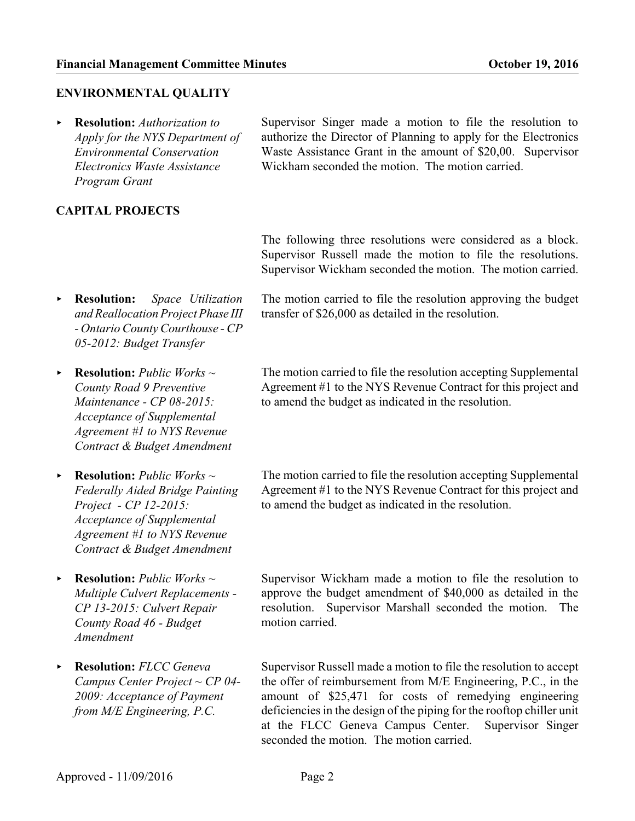## **ENVIRONMENTAL QUALITY**

< **Resolution:** *Authorization to Apply for the NYS Department of Environmental Conservation Electronics Waste Assistance Program Grant*

**CAPITAL PROJECTS**

Supervisor Singer made a motion to file the resolution to authorize the Director of Planning to apply for the Electronics Waste Assistance Grant in the amount of \$20,00. Supervisor Wickham seconded the motion. The motion carried.

The following three resolutions were considered as a block. Supervisor Russell made the motion to file the resolutions. Supervisor Wickham seconded the motion. The motion carried.

- < **Resolution:** *Space Utilization and Reallocation Project Phase III - Ontario County Courthouse - CP 05-2012: Budget Transfer*
- < **Resolution:** *Public Works ~ County Road 9 Preventive Maintenance - CP 08-2015: Acceptance of Supplemental Agreement #1 to NYS Revenue Contract & Budget Amendment*
- < **Resolution:** *Public Works ~ Federally Aided Bridge Painting Project - CP 12-2015: Acceptance of Supplemental Agreement #1 to NYS Revenue Contract & Budget Amendment*
- < **Resolution:** *Public Works ~ Multiple Culvert Replacements - CP 13-2015: Culvert Repair County Road 46 - Budget Amendment*
- < **Resolution:** *FLCC Geneva Campus Center Project ~ CP 04- 2009: Acceptance of Payment from M/E Engineering, P.C.*

The motion carried to file the resolution approving the budget transfer of \$26,000 as detailed in the resolution.

The motion carried to file the resolution accepting Supplemental Agreement #1 to the NYS Revenue Contract for this project and to amend the budget as indicated in the resolution.

The motion carried to file the resolution accepting Supplemental Agreement #1 to the NYS Revenue Contract for this project and to amend the budget as indicated in the resolution.

Supervisor Wickham made a motion to file the resolution to approve the budget amendment of \$40,000 as detailed in the resolution. Supervisor Marshall seconded the motion. The motion carried.

Supervisor Russell made a motion to file the resolution to accept the offer of reimbursement from M/E Engineering, P.C., in the amount of \$25,471 for costs of remedying engineering deficiencies in the design of the piping for the rooftop chiller unit at the FLCC Geneva Campus Center. Supervisor Singer seconded the motion. The motion carried.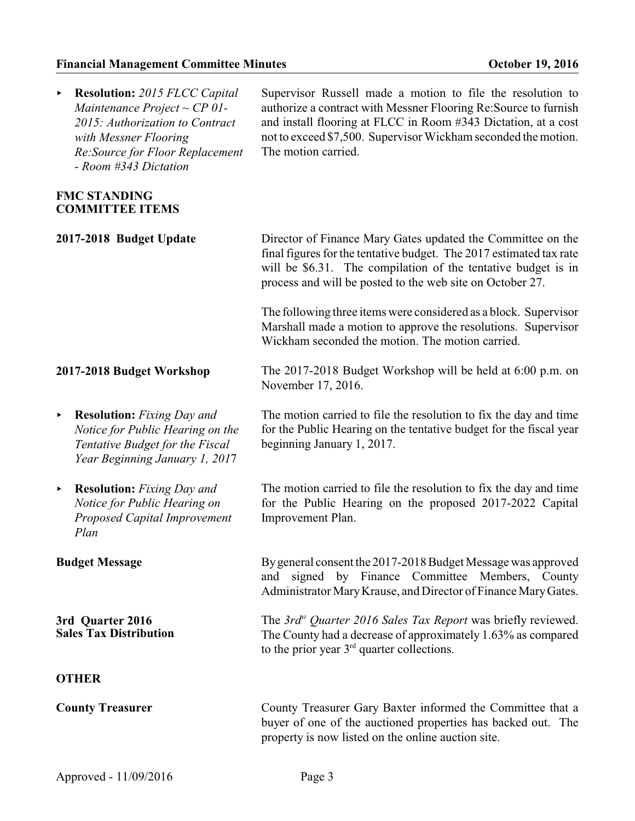## **Financial Management Committee Minutes Committee Minutes Constanting Constanting Constanting Constanting Constanting Constanting Constanting Constanting Constanting Constanting Constanting Constanting Constanting Cons**

| <b>Resolution:</b> 2015 FLCC Capital<br>▶<br>Maintenance Project ~ $CP$ 01-<br>2015: Authorization to Contract<br>with Messner Flooring<br>Re: Source for Floor Replacement<br>- Room #343 Dictation | Supervisor Russell made a motion to file the resolution to<br>authorize a contract with Messner Flooring Re: Source to furnish<br>and install flooring at FLCC in Room #343 Dictation, at a cost<br>not to exceed \$7,500. Supervisor Wickham seconded the motion.<br>The motion carried. |  |
|------------------------------------------------------------------------------------------------------------------------------------------------------------------------------------------------------|-------------------------------------------------------------------------------------------------------------------------------------------------------------------------------------------------------------------------------------------------------------------------------------------|--|
| <b>FMC STANDING</b><br><b>COMMITTEE ITEMS</b>                                                                                                                                                        |                                                                                                                                                                                                                                                                                           |  |
| 2017-2018 Budget Update                                                                                                                                                                              | Director of Finance Mary Gates updated the Committee on the<br>final figures for the tentative budget. The 2017 estimated tax rate<br>will be \$6.31. The compilation of the tentative budget is in<br>process and will be posted to the web site on October 27.                          |  |
|                                                                                                                                                                                                      | The following three items were considered as a block. Supervisor<br>Marshall made a motion to approve the resolutions. Supervisor<br>Wickham seconded the motion. The motion carried.                                                                                                     |  |
| 2017-2018 Budget Workshop                                                                                                                                                                            | The 2017-2018 Budget Workshop will be held at 6:00 p.m. on<br>November 17, 2016.                                                                                                                                                                                                          |  |
| <b>Resolution:</b> Fixing Day and<br>▶<br>Notice for Public Hearing on the<br>Tentative Budget for the Fiscal<br>Year Beginning January 1, 2017                                                      | The motion carried to file the resolution to fix the day and time<br>for the Public Hearing on the tentative budget for the fiscal year<br>beginning January 1, 2017.                                                                                                                     |  |
| <b>Resolution:</b> Fixing Day and<br>×<br>Notice for Public Hearing on<br>Proposed Capital Improvement<br>Plan                                                                                       | The motion carried to file the resolution to fix the day and time<br>for the Public Hearing on the proposed 2017-2022 Capital<br>Improvement Plan.                                                                                                                                        |  |
| <b>Budget Message</b>                                                                                                                                                                                | By general consent the 2017-2018 Budget Message was approved<br>and signed by Finance Committee Members, County<br>Administrator Mary Krause, and Director of Finance Mary Gates.                                                                                                         |  |
| 3rd Quarter 2016<br><b>Sales Tax Distribution</b>                                                                                                                                                    | The 3rd <sup>st</sup> Quarter 2016 Sales Tax Report was briefly reviewed.<br>The County had a decrease of approximately 1.63% as compared<br>to the prior year $3rd$ quarter collections.                                                                                                 |  |
| <b>OTHER</b>                                                                                                                                                                                         |                                                                                                                                                                                                                                                                                           |  |
| <b>County Treasurer</b>                                                                                                                                                                              | County Treasurer Gary Baxter informed the Committee that a<br>buyer of one of the auctioned properties has backed out. The<br>property is now listed on the online auction site.                                                                                                          |  |